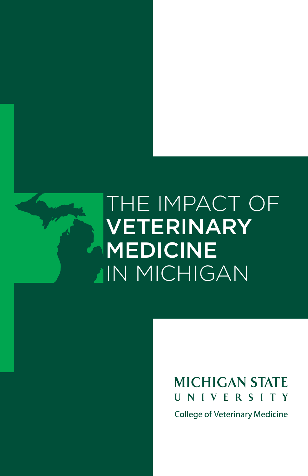# THE IMPACT OF VETERINARY MEDICINE IN MICHIGAN

## **MICHIGAN STATE** UNIVERSITY

**College of Veterinary Medicine**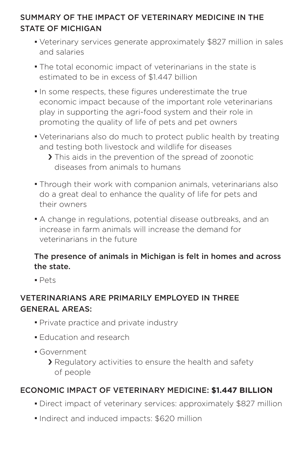#### SUMMARY OF THE IMPACT OF VETERINARY MEDICINE IN THE STATE OF MICHIGAN

- **·** Veterinary services generate approximately \$827 million in sales and salaries
- **·** The total economic impact of veterinarians in the state is estimated to be in excess of \$1.447 billion
- **·**In some respects, these figures underestimate the true economic impact because of the important role veterinarians play in supporting the agri-food system and their role in promoting the quality of life of pets and pet owners
- **·** Veterinarians also do much to protect public health by treating and testing both livestock and wildlife for diseases
	- > This aids in the prevention of the spread of zoonotic diseases from animals to humans
- **·** Through their work with companion animals, veterinarians also do a great deal to enhance the quality of life for pets and their owners
- **·** A change in regulations, potential disease outbreaks, and an increase in farm animals will increase the demand for veterinarians in the future

#### The presence of animals in Michigan is felt in homes and across the state.

**·** Pets

#### VETERINARIANS ARE PRIMARILY EMPLOYED IN THREE GENERAL AREAS:

- **·** Private practice and private industry
- **·** Education and research
- **·** Government
	- › Regulatory activities to ensure the health and safety of people

#### ECONOMIC IMPACT OF VETERINARY MEDICINE: **\$1.447 BILLION**

- **·** Direct impact of veterinary services: approximately \$827 million
- **·**Indirect and induced impacts: \$620 million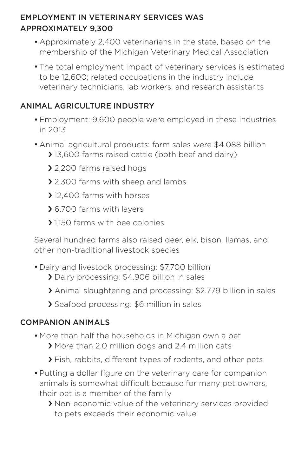#### EMPLOYMENT IN VETERINARY SERVICES WAS APPROXIMATELY 9,300

- **·** Approximately 2,400 veterinarians in the state, based on the membership of the Michigan Veterinary Medical Association
- **·** The total employment impact of veterinary services is estimated to be 12,600; related occupations in the industry include veterinary technicians, lab workers, and research assistants

#### ANIMAL AGRICULTURE INDUSTRY

- **·** Employment: 9,600 people were employed in these industries in 2013
- **·** Animal agricultural products: farm sales were \$4.088 billion
	- › 13,600 farms raised cattle (both beef and dairy)
	- > 2,200 farms raised hogs
	- › 2,300 farms with sheep and lambs
	- › 12,400 farms with horses
	- › 6,700 farms with layers
	- > 1150 farms with bee colonies

Several hundred farms also raised deer, elk, bison, llamas, and other non-traditional livestock species

- **·** Dairy and livestock processing: \$7.700 billion
	- › Dairy processing: \$4.906 billion in sales
	- › Animal slaughtering and processing: \$2.779 billion in sales
	- › Seafood processing: \$6 million in sales

#### COMPANION ANIMALS

- **·** More than half the households in Michigan own a pet
	- › More than 2.0 million dogs and 2.4 million cats
	- › Fish, rabbits, different types of rodents, and other pets
- **·** Putting a dollar figure on the veterinary care for companion animals is somewhat difficult because for many pet owners, their pet is a member of the family
	- › Non-economic value of the veterinary services provided to pets exceeds their economic value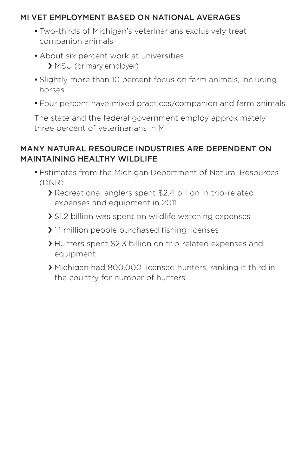#### MI VET EMPLOYMENT BASED ON NATIONAL AVERAGES

- **·** Two-thirds of Michigan's veterinarians exclusively treat companion animals
- **·** About six percent work at universities › MSU (primary employer)
- **·** Slightly more than 10 percent focus on farm animals, including horses
- **·** Four percent have mixed practices/companion and farm animals

The state and the federal government employ approximately three percent of veterinarians in MI

#### MANY NATURAL RESOURCE INDUSTRIES ARE DEPENDENT ON MAINTAINING HEALTHY WILDLIFE

- **·** Estimates from the Michigan Department of Natural Resources (DNR)
	- › Recreational anglers spent \$2.4 billion in trip-related expenses and equipment in 2011
	- > \$1.2 billion was spent on wildlife watching expenses
	- › 1.1 million people purchased fishing licenses
	- › Hunters spent \$2.3 billion on trip-related expenses and equipment
	- › Michigan had 800,000 licensed hunters, ranking it third in the country for number of hunters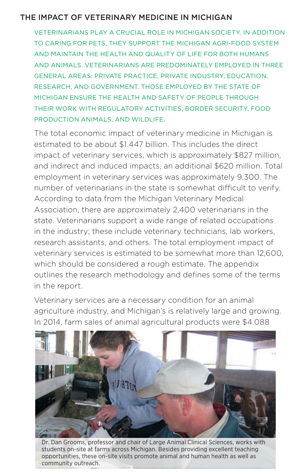#### THE IMPACT OF VETERINARY MEDICINE IN MICHIGAN

VETERINARIANS PLAY A CRUCIAL ROLE IN MICHIGAN SOCIETY. IN ADDITION TO CARING FOR PETS, THEY SUPPORT THE MICHIGAN AGRI-FOOD SYSTEM AND MAINTAIN THE HEALTH AND QUALITY OF LIFE FOR BOTH HUMANS AND ANIMALS. VETERINARIANS ARE PREDOMINATELY EMPLOYED IN THREE GENERAL AREAS: PRIVATE PRACTICE, PRIVATE INDUSTRY, EDUCATION, RESEARCH, AND GOVERNMENT. THOSE EMPLOYED BY THE STATE OF MICHIGAN ENSURE THE HEALTH AND SAFETY OF PEOPLE THROUGH THEIR WORK WITH REGULATORY ACTIVITIES, BORDER SECURITY, FOOD PRODUCTION ANIMALS, AND WILDLIFE.

The total economic impact of veterinary medicine in Michigan is estimated to be about \$1.447 billion. This includes the direct impact of veterinary services, which is approximately \$827 million, and indirect and induced impacts, an additional \$620 million. Total employment in veterinary services was approximately 9,300. The number of veterinarians in the state is somewhat difficult to verify. According to data from the Michigan Veterinary Medical Association, there are approximately 2,400 veterinarians in the state. Veterinarians support a wide range of related occupations in the industry; these include veterinary technicians, lab workers, research assistants, and others. The total employment impact of veterinary services is estimated to be somewhat more than 12,600, which should be considered a rough estimate. The appendix outlines the research methodology and defines some of the terms in the report.

Veterinary services are a necessary condition for an animal agriculture industry, and Michigan's is relatively large and growing. In 2014, farm sales of animal agricultural products were \$4.088



Dr. Dan Grooms, professor and chair of Large Animal Clinical Sciences, works with students on-site at farms across Michigan. Besides providing excellent teaching opportunities, these on-site visits promote animal and human health as well as community outreach.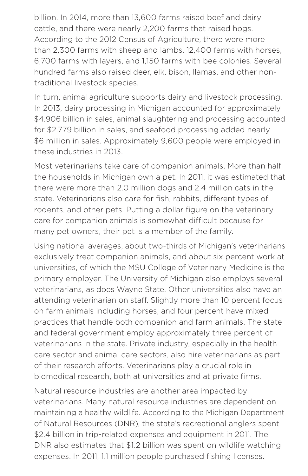billion. In 2014, more than 13,600 farms raised beef and dairy cattle, and there were nearly 2,200 farms that raised hogs. According to the 2012 Census of Agriculture, there were more than 2,300 farms with sheep and lambs, 12,400 farms with horses, 6,700 farms with layers, and 1,150 farms with bee colonies. Several hundred farms also raised deer, elk, bison, llamas, and other nontraditional livestock species.

In turn, animal agriculture supports dairy and livestock processing. In 2013, dairy processing in Michigan accounted for approximately \$4.906 billion in sales, animal slaughtering and processing accounted for \$2.779 billion in sales, and seafood processing added nearly \$6 million in sales. Approximately 9,600 people were employed in these industries in 2013.

Most veterinarians take care of companion animals. More than half the households in Michigan own a pet. In 2011, it was estimated that there were more than 2.0 million dogs and 2.4 million cats in the state. Veterinarians also care for fish, rabbits, different types of rodents, and other pets. Putting a dollar figure on the veterinary care for companion animals is somewhat difficult because for many pet owners, their pet is a member of the family.

Using national averages, about two-thirds of Michigan's veterinarians exclusively treat companion animals, and about six percent work at universities, of which the MSU College of Veterinary Medicine is the primary employer. The University of Michigan also employs several veterinarians, as does Wayne State. Other universities also have an attending veterinarian on staff. Slightly more than 10 percent focus on farm animals including horses, and four percent have mixed practices that handle both companion and farm animals. The state and federal government employ approximately three percent of veterinarians in the state. Private industry, especially in the health care sector and animal care sectors, also hire veterinarians as part of their research efforts. Veterinarians play a crucial role in biomedical research, both at universities and at private firms.

Natural resource industries are another area impacted by veterinarians. Many natural resource industries are dependent on maintaining a healthy wildlife. According to the Michigan Department of Natural Resources (DNR), the state's recreational anglers spent \$2.4 billion in trip-related expenses and equipment in 2011. The DNR also estimates that \$1.2 billion was spent on wildlife watching expenses. In 2011, 1.1 million people purchased fishing licenses.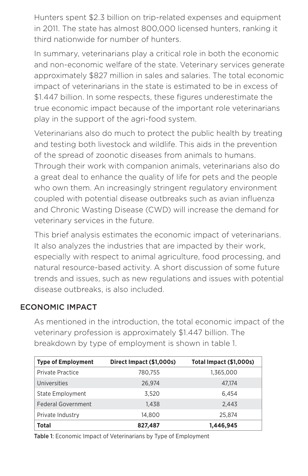Hunters spent \$2.3 billion on trip-related expenses and equipment in 2011. The state has almost 800,000 licensed hunters, ranking it third nationwide for number of hunters.

In summary, veterinarians play a critical role in both the economic and non-economic welfare of the state. Veterinary services generate approximately \$827 million in sales and salaries. The total economic impact of veterinarians in the state is estimated to be in excess of \$1.447 billion. In some respects, these figures underestimate the true economic impact because of the important role veterinarians play in the support of the agri-food system.

Veterinarians also do much to protect the public health by treating and testing both livestock and wildlife. This aids in the prevention of the spread of zoonotic diseases from animals to humans. Through their work with companion animals, veterinarians also do a great deal to enhance the quality of life for pets and the people who own them. An increasingly stringent regulatory environment coupled with potential disease outbreaks such as avian influenza and Chronic Wasting Disease (CWD) will increase the demand for veterinary services in the future.

This brief analysis estimates the economic impact of veterinarians. It also analyzes the industries that are impacted by their work, especially with respect to animal agriculture, food processing, and natural resource-based activity. A short discussion of some future trends and issues, such as new regulations and issues with potential disease outbreaks, is also included.

#### ECONOMIC IMPACT

As mentioned in the introduction, the total economic impact of the veterinary profession is approximately \$1.447 billion. The breakdown by type of employment is shown in table 1.

| <b>Type of Employment</b> | Direct Impact (\$1,000s) | Total Impact (\$1,000s) |
|---------------------------|--------------------------|-------------------------|
| Private Practice          | 780,755                  | 1,365,000               |
| Universities              | 26.974                   | 47.174                  |
| <b>State Employment</b>   | 3.520                    | 6.454                   |
| Federal Government        | 1.438                    | 2,443                   |
| Private Industry          | 14,800                   | 25.874                  |
| <b>Total</b>              | 827,487                  | 1,446,945               |

Table 1: Economic Impact of Veterinarians by Type of Employment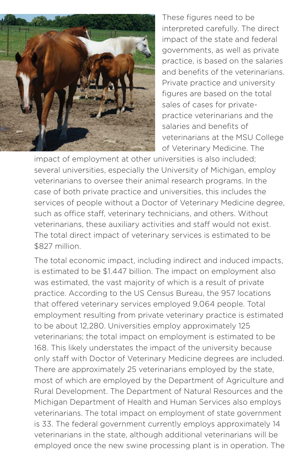

These figures need to be interpreted carefully. The direct impact of the state and federal governments, as well as private practice, is based on the salaries and benefits of the veterinarians. Private practice and university figures are based on the total sales of cases for privatepractice veterinarians and the salaries and benefits of veterinarians at the MSU College of Veterinary Medicine. The

impact of employment at other universities is also included; several universities, especially the University of Michigan, employ veterinarians to oversee their animal research programs. In the case of both private practice and universities, this includes the services of people without a Doctor of Veterinary Medicine degree, such as office staff, veterinary technicians, and others. Without veterinarians, these auxiliary activities and staff would not exist. The total direct impact of veterinary services is estimated to be \$827 million.

The total economic impact, including indirect and induced impacts, is estimated to be \$1.447 billion. The impact on employment also was estimated, the vast majority of which is a result of private practice. According to the US Census Bureau, the 957 locations that offered veterinary services employed 9,064 people. Total employment resulting from private veterinary practice is estimated to be about 12,280. Universities employ approximately 125 veterinarians; the total impact on employment is estimated to be 168. This likely understates the impact of the university because only staff with Doctor of Veterinary Medicine degrees are included. There are approximately 25 veterinarians employed by the state, most of which are employed by the Department of Agriculture and Rural Development. The Department of Natural Resources and the Michigan Department of Health and Human Services also employs veterinarians. The total impact on employment of state government is 33. The federal government currently employs approximately 14 veterinarians in the state, although additional veterinarians will be employed once the new swine processing plant is in operation. The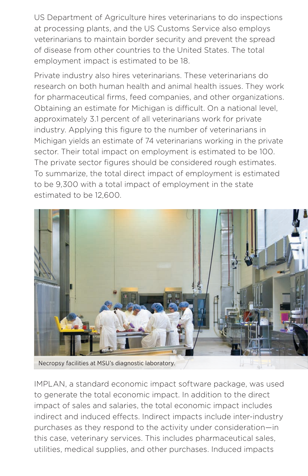US Department of Agriculture hires veterinarians to do inspections at processing plants, and the US Customs Service also employs veterinarians to maintain border security and prevent the spread of disease from other countries to the United States. The total employment impact is estimated to be 18.

Private industry also hires veterinarians. These veterinarians do research on both human health and animal health issues. They work for pharmaceutical firms, feed companies, and other organizations. Obtaining an estimate for Michigan is difficult. On a national level, approximately 3.1 percent of all veterinarians work for private industry. Applying this figure to the number of veterinarians in Michigan yields an estimate of 74 veterinarians working in the private sector. Their total impact on employment is estimated to be 100. The private sector figures should be considered rough estimates. To summarize, the total direct impact of employment is estimated to be 9,300 with a total impact of employment in the state estimated to be 12,600.



IMPLAN, a standard economic impact software package, was used to generate the total economic impact. In addition to the direct impact of sales and salaries, the total economic impact includes indirect and induced effects. Indirect impacts include inter-industry purchases as they respond to the activity under consideration—in this case, veterinary services. This includes pharmaceutical sales, utilities, medical supplies, and other purchases. Induced impacts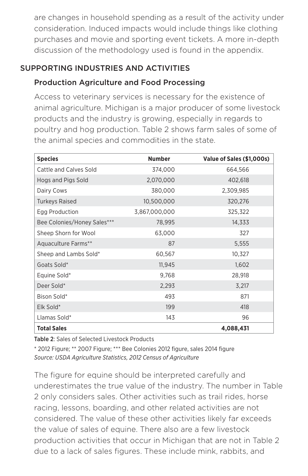are changes in household spending as a result of the activity under consideration. Induced impacts would include things like clothing purchases and movie and sporting event tickets. A more in-depth discussion of the methodology used is found in the appendix.

#### SUPPORTING INDUSTRIES AND ACTIVITIES

#### Production Agriculture and Food Processing

Access to veterinary services is necessary for the existence of animal agriculture. Michigan is a major producer of some livestock products and the industry is growing, especially in regards to poultry and hog production. Table 2 shows farm sales of some of the animal species and commodities in the state.

| <b>Species</b>              | <b>Number</b> | Value of Sales (\$1,000s) |
|-----------------------------|---------------|---------------------------|
| Cattle and Calves Sold      | 374,000       | 664,566                   |
| Hogs and Pigs Sold          | 2,070,000     | 402,618                   |
| Dairy Cows                  | 380,000       | 2,309,985                 |
| <b>Turkeys Raised</b>       | 10,500,000    | 320,276                   |
| Egg Production              | 3,867,000,000 | 325,322                   |
| Bee Colonies/Honey Sales*** | 78,995        | 14,333                    |
| Sheep Shorn for Wool        | 63,000        | 327                       |
| Aquaculture Farms**         | 87            | 5,555                     |
| Sheep and Lambs Sold*       | 60,567        | 10,327                    |
| Goats Sold*                 | 11,945        | 1,602                     |
| Equine Sold*                | 9,768         | 28,918                    |
| Deer Sold*                  | 2,293         | 3,217                     |
| Bison Sold*                 | 493           | 871                       |
| Elk Sold*                   | 199           | 418                       |
| Llamas Sold*                | 143           | 96                        |
| <b>Total Sales</b>          |               | 4,088,431                 |

Table 2: Sales of Selected Livestock Products

\* 2012 Figure; \*\* 2007 Figure; \*\*\* Bee Colonies 2012 figure, sales 2014 figure *Source: USDA Agriculture Statistics, 2012 Census of Agriculture*

The figure for equine should be interpreted carefully and underestimates the true value of the industry. The number in Table 2 only considers sales. Other activities such as trail rides, horse racing, lessons, boarding, and other related activities are not considered. The value of these other activities likely far exceeds the value of sales of equine. There also are a few livestock production activities that occur in Michigan that are not in Table 2 due to a lack of sales figures. These include mink, rabbits, and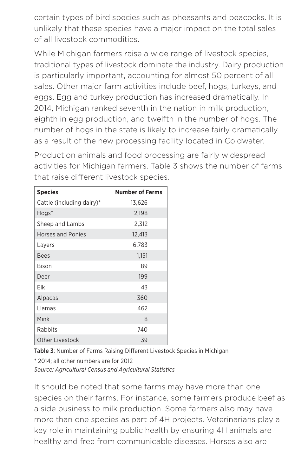certain types of bird species such as pheasants and peacocks. It is unlikely that these species have a major impact on the total sales of all livestock commodities.

While Michigan farmers raise a wide range of livestock species, traditional types of livestock dominate the industry. Dairy production is particularly important, accounting for almost 50 percent of all sales. Other major farm activities include beef, hogs, turkeys, and eggs. Egg and turkey production has increased dramatically. In 2014, Michigan ranked seventh in the nation in milk production, eighth in egg production, and twelfth in the number of hogs. The number of hogs in the state is likely to increase fairly dramatically as a result of the new processing facility located in Coldwater.

Production animals and food processing are fairly widespread activities for Michigan farmers. Table 3 shows the number of farms that raise different livestock species.

| <b>Species</b>            | <b>Number of Farms</b> |  |
|---------------------------|------------------------|--|
| Cattle (including dairy)* | 13,626                 |  |
| Hogs*                     | 2,198                  |  |
| Sheep and Lambs           | 2,312                  |  |
| <b>Horses and Ponies</b>  | 12,413                 |  |
| Layers                    | 6,783                  |  |
| <b>Bees</b>               | 1,151                  |  |
| <b>Bison</b>              | 89                     |  |
| Deer                      | 199                    |  |
| Elk                       | 43                     |  |
| Alpacas                   | 360                    |  |
| Llamas                    | 462                    |  |
| Mink                      | 8                      |  |
| Rabbits                   | 740                    |  |
| Other Livestock           | 39                     |  |

Table 3: Number of Farms Raising Different Livestock Species in Michigan

\* 2014; all other numbers are for 2012

*Source: Agricultural Census and Agricultural Statistics*

It should be noted that some farms may have more than one species on their farms. For instance, some farmers produce beef as a side business to milk production. Some farmers also may have more than one species as part of 4H projects. Veterinarians play a key role in maintaining public health by ensuring 4H animals are healthy and free from communicable diseases. Horses also are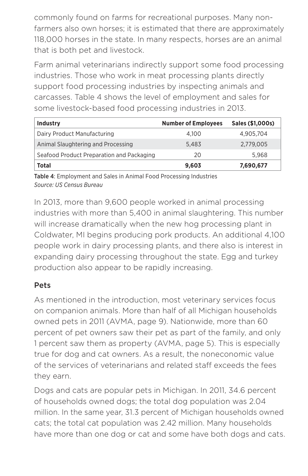commonly found on farms for recreational purposes. Many nonfarmers also own horses; it is estimated that there are approximately 118,000 horses in the state. In many respects, horses are an animal that is both pet and livestock.

Farm animal veterinarians indirectly support some food processing industries. Those who work in meat processing plants directly support food processing industries by inspecting animals and carcasses. Table 4 shows the level of employment and sales for some livestock-based food processing industries in 2013.

| <b>Industry</b>                           | <b>Number of Employees</b> | Sales (\$1,000s) |
|-------------------------------------------|----------------------------|------------------|
| Dairy Product Manufacturing               | 4.100                      | 4.905.704        |
| Animal Slaughtering and Processing        | 5.483                      | 2,779,005        |
| Seafood Product Preparation and Packaging | 20                         | 5.968            |
| Total                                     | 9,603                      | 7,690,677        |

Table 4: Employment and Sales in Animal Food Processing Industries *Source: US Census Bureau*

In 2013, more than 9,600 people worked in animal processing industries with more than 5,400 in animal slaughtering. This number will increase dramatically when the new hog processing plant in Coldwater, MI begins producing pork products. An additional 4,100 people work in dairy processing plants, and there also is interest in expanding dairy processing throughout the state. Egg and turkey production also appear to be rapidly increasing.

#### Pets

As mentioned in the introduction, most veterinary services focus on companion animals. More than half of all Michigan households owned pets in 2011 (AVMA, page 9). Nationwide, more than 60 percent of pet owners saw their pet as part of the family, and only 1 percent saw them as property (AVMA, page 5). This is especially true for dog and cat owners. As a result, the noneconomic value of the services of veterinarians and related staff exceeds the fees they earn.

Dogs and cats are popular pets in Michigan. In 2011, 34.6 percent of households owned dogs; the total dog population was 2.04 million. In the same year, 31.3 percent of Michigan households owned cats; the total cat population was 2.42 million. Many households have more than one dog or cat and some have both dogs and cats.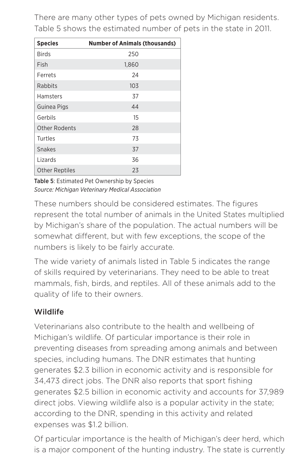There are many other types of pets owned by Michigan residents. Table 5 shows the estimated number of pets in the state in 2011.

| <b>Species</b>        | <b>Number of Animals (thousands)</b> |  |
|-----------------------|--------------------------------------|--|
| <b>Birds</b>          | 250                                  |  |
| Fish                  | 1,860                                |  |
| Ferrets               | 24                                   |  |
| Rabbits               | 103                                  |  |
| Hamsters              | 37                                   |  |
| Guinea Pigs           | 44                                   |  |
| Gerbils               | 15                                   |  |
| <b>Other Rodents</b>  | 28                                   |  |
| Turtles               | 73                                   |  |
| <b>Snakes</b>         | 37                                   |  |
| Lizards               | 36                                   |  |
| <b>Other Reptiles</b> | 23                                   |  |

Table 5: Estimated Pet Ownership by Species *Source: Michigan Veterinary Medical Association*

These numbers should be considered estimates. The figures represent the total number of animals in the United States multiplied by Michigan's share of the population. The actual numbers will be somewhat different, but with few exceptions, the scope of the numbers is likely to be fairly accurate.

The wide variety of animals listed in Table 5 indicates the range of skills required by veterinarians. They need to be able to treat mammals, fish, birds, and reptiles. All of these animals add to the quality of life to their owners.

### Wildlife

Veterinarians also contribute to the health and wellbeing of Michigan's wildlife. Of particular importance is their role in preventing diseases from spreading among animals and between species, including humans. The DNR estimates that hunting generates \$2.3 billion in economic activity and is responsible for 34,473 direct jobs. The DNR also reports that sport fishing generates \$2.5 billion in economic activity and accounts for 37,989 direct jobs. Viewing wildlife also is a popular activity in the state; according to the DNR, spending in this activity and related expenses was \$1.2 billion.

Of particular importance is the health of Michigan's deer herd, which is a major component of the hunting industry. The state is currently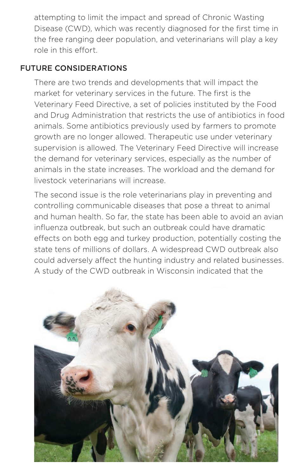attempting to limit the impact and spread of Chronic Wasting Disease (CWD), which was recently diagnosed for the first time in the free ranging deer population, and veterinarians will play a key role in this effort.

#### FUTURE CONSIDERATIONS

There are two trends and developments that will impact the market for veterinary services in the future. The first is the Veterinary Feed Directive, a set of policies instituted by the Food and Drug Administration that restricts the use of antibiotics in food animals. Some antibiotics previously used by farmers to promote growth are no longer allowed. Therapeutic use under veterinary supervision is allowed. The Veterinary Feed Directive will increase the demand for veterinary services, especially as the number of animals in the state increases. The workload and the demand for livestock veterinarians will increase.

The second issue is the role veterinarians play in preventing and controlling communicable diseases that pose a threat to animal and human health. So far, the state has been able to avoid an avian influenza outbreak, but such an outbreak could have dramatic effects on both egg and turkey production, potentially costing the state tens of millions of dollars. A widespread CWD outbreak also could adversely affect the hunting industry and related businesses. A study of the CWD outbreak in Wisconsin indicated that the

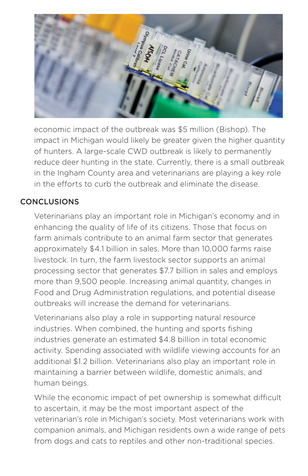

economic impact of the outbreak was \$5 million (Bishop). The impact in Michigan would likely be greater given the higher quantity of hunters. A large-scale CWD outbreak is likely to permanently reduce deer hunting in the state. Currently, there is a small outbreak in the Ingham County area and veterinarians are playing a key role in the efforts to curb the outbreak and eliminate the disease.

#### **CONCLUSIONS**

Veterinarians play an important role in Michigan's economy and in enhancing the quality of life of its citizens. Those that focus on farm animals contribute to an animal farm sector that generates approximately \$4.1 billion in sales. More than 10,000 farms raise livestock. In turn, the farm livestock sector supports an animal processing sector that generates \$7.7 billion in sales and employs more than 9,500 people. Increasing animal quantity, changes in Food and Drug Administration regulations, and potential disease outbreaks will increase the demand for veterinarians.

Veterinarians also play a role in supporting natural resource industries. When combined, the hunting and sports fishing industries generate an estimated \$4.8 billion in total economic activity. Spending associated with wildlife viewing accounts for an additional \$1.2 billion. Veterinarians also play an important role in maintaining a barrier between wildlife, domestic animals, and human beings.

While the economic impact of pet ownership is somewhat difficult to ascertain, it may be the most important aspect of the veterinarian's role in Michigan's society. Most veterinarians work with companion animals, and Michigan residents own a wide range of pets from dogs and cats to reptiles and other non-traditional species.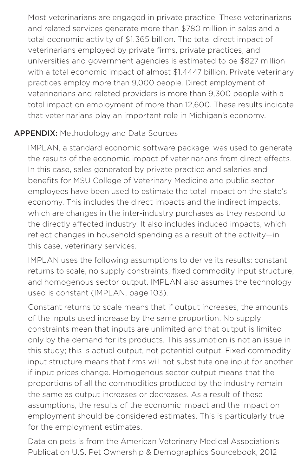Most veterinarians are engaged in private practice. These veterinarians and related services generate more than \$780 million in sales and a total economic activity of \$1.365 billion. The total direct impact of veterinarians employed by private firms, private practices, and universities and government agencies is estimated to be \$827 million with a total economic impact of almost \$1.4447 billion. Private veterinary practices employ more than 9,000 people. Direct employment of veterinarians and related providers is more than 9,300 people with a total impact on employment of more than 12,600. These results indicate that veterinarians play an important role in Michigan's economy.

#### APPENDIX: Methodology and Data Sources

IMPLAN, a standard economic software package, was used to generate the results of the economic impact of veterinarians from direct effects. In this case, sales generated by private practice and salaries and benefits for MSU College of Veterinary Medicine and public sector employees have been used to estimate the total impact on the state's economy. This includes the direct impacts and the indirect impacts, which are changes in the inter-industry purchases as they respond to the directly affected industry. It also includes induced impacts, which reflect changes in household spending as a result of the activity—in this case, veterinary services.

IMPLAN uses the following assumptions to derive its results: constant returns to scale, no supply constraints, fixed commodity input structure, and homogenous sector output. IMPLAN also assumes the technology used is constant (IMPLAN, page 103).

Constant returns to scale means that if output increases, the amounts of the inputs used increase by the same proportion. No supply constraints mean that inputs are unlimited and that output is limited only by the demand for its products. This assumption is not an issue in this study; this is actual output, not potential output. Fixed commodity input structure means that firms will not substitute one input for another if input prices change. Homogenous sector output means that the proportions of all the commodities produced by the industry remain the same as output increases or decreases. As a result of these assumptions, the results of the economic impact and the impact on employment should be considered estimates. This is particularly true for the employment estimates.

Data on pets is from the American Veterinary Medical Association's Publication U.S. Pet Ownership & Demographics Sourcebook, 2012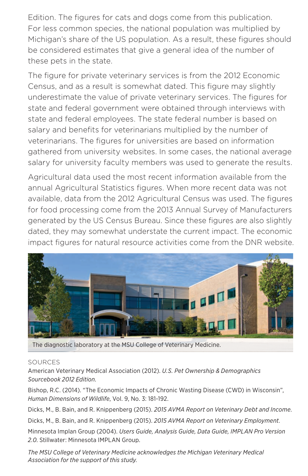Edition. The figures for cats and dogs come from this publication. For less common species, the national population was multiplied by Michigan's share of the US population. As a result, these figures should be considered estimates that give a general idea of the number of these pets in the state.

The figure for private veterinary services is from the 2012 Economic Census, and as a result is somewhat dated. This figure may slightly underestimate the value of private veterinary services. The figures for state and federal government were obtained through interviews with state and federal employees. The state federal number is based on salary and benefits for veterinarians multiplied by the number of veterinarians. The figures for universities are based on information gathered from university websites. In some cases, the national average salary for university faculty members was used to generate the results.

Agricultural data used the most recent information available from the annual Agricultural Statistics figures. When more recent data was not available, data from the 2012 Agricultural Census was used. The figures for food processing come from the 2013 Annual Survey of Manufacturers generated by the US Census Bureau. Since these figures are also slightly dated, they may somewhat understate the current impact. The economic impact figures for natural resource activities come from the DNR website.



The diagnostic laboratory at the MSU College of Veterinary Medicine.

#### SOURCES

American Veterinary Medical Association (2012). *U.S. Pet Ownership & Demographics Sourcebook 2012 Edition*.

Bishop, R.C. (2014). "The Economic Impacts of Chronic Wasting Disease (CWD) in Wisconsin", *Human Dimensions of Wildlife*, Vol. 9, No. 3: 181-192.

Dicks, M., B. Bain, and R. Knippenberg (2015). *2015 AVMA Report on Veterinary Debt and Income*.

Dicks, M., B. Bain, and R. Knippenberg (2015). *2015 AVMA Report on Veterinary Employment*.

Minnesota Implan Group (2004). *Users Guide, Analysis Guide, Data Guide, IMPLAN Pro Version 2.0*. Stillwater: Minnesota IMPLAN Group.

*The MSU College of Veterinary Medicine acknowledges the Michigan Veterinary Medical Association for the support of this study.*